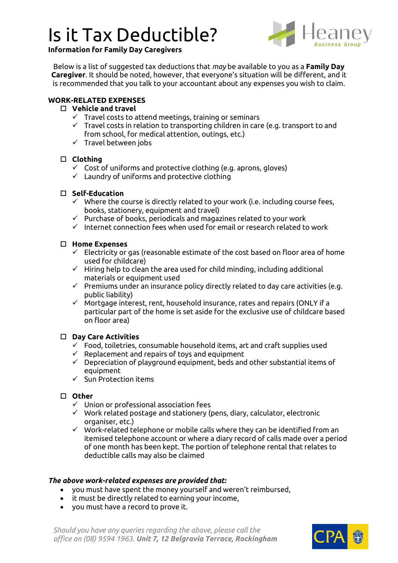## Is it Tax Deductible?



## **Information for Family Day Caregivers**

Below is a list of suggested tax deductions that *may* be available to you as a **Family Day Caregiver**. It should be noted, however, that everyone's situation will be different, and it is recommended that you talk to your accountant about any expenses you wish to claim.

## **WORK-RELATED EXPENSES**

#### **Vehicle and travel**

- $\checkmark$  Travel costs to attend meetings, training or seminars
- $\checkmark$  Travel costs in relation to transporting children in care (e.g. transport to and from school, for medical attention, outings, etc.)
- $\checkmark$  Travel between jobs

## **Clothing**

- $\checkmark$  Cost of uniforms and protective clothing (e.g. aprons, gloves)
- ✓ Laundry of uniforms and protective clothing

#### **Self-Education**

- $\checkmark$  Where the course is directly related to your work (i.e. including course fees, books, stationery, equipment and travel)
- $\checkmark$  Purchase of books, periodicals and magazines related to your work
- ✓ Internet connection fees when used for email or research related to work

#### **Home Expenses**

- $\checkmark$  Electricity or gas (reasonable estimate of the cost based on floor area of home used for childcare)
- $\checkmark$  Hiring help to clean the area used for child minding, including additional materials or equipment used
- $\checkmark$  Premiums under an insurance policy directly related to day care activities (e.g. public liability)
- ✓ Mortgage interest, rent, household insurance, rates and repairs (ONLY if a particular part of the home is set aside for the exclusive use of childcare based on floor area)

#### **Day Care Activities**

- $\checkmark$  Food, toiletries, consumable household items, art and craft supplies used
- $\checkmark$  Replacement and repairs of toys and equipment
- $\checkmark$  Depreciation of playground equipment, beds and other substantial items of equipment
- $\checkmark$  Sun Protection items

#### **Other**

- ✓ Union or professional association fees
- ✓ Work related postage and stationery (pens, diary, calculator, electronic organiser, etc.)
- $\checkmark$  Work-related telephone or mobile calls where they can be identified from an itemised telephone account or where a diary record of calls made over a period of one month has been kept. The portion of telephone rental that relates to deductible calls may also be claimed

#### *The above work-related expenses are provided that:*

- you must have spent the money yourself and weren't reimbursed,
- it must be directly related to earning your income,
- you must have a record to prove it.